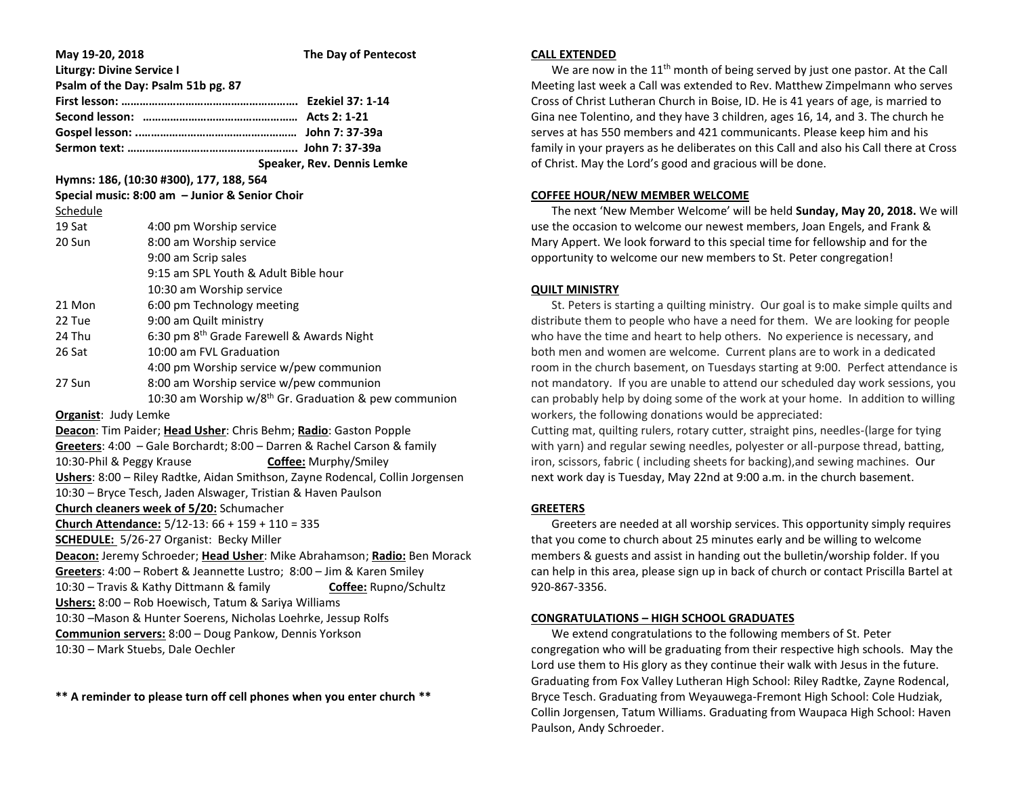| May 19-20, 2018                                                               |                                           | The Day of Pentecost       |
|-------------------------------------------------------------------------------|-------------------------------------------|----------------------------|
| <b>Liturgy: Divine Service I</b><br>Psalm of the Day: Psalm 51b pg. 87        |                                           |                            |
|                                                                               |                                           |                            |
|                                                                               |                                           |                            |
|                                                                               |                                           |                            |
|                                                                               |                                           |                            |
|                                                                               |                                           | Speaker, Rev. Dennis Lemke |
| Hymns: 186, (10:30 #300), 177, 188, 564                                       |                                           |                            |
| Special music: 8:00 am - Junior & Senior Choir                                |                                           |                            |
| Schedule                                                                      |                                           |                            |
| 19 Sat                                                                        | 4:00 pm Worship service                   |                            |
| 20 Sun                                                                        | 8:00 am Worship service                   |                            |
|                                                                               | 9:00 am Scrip sales                       |                            |
|                                                                               | 9:15 am SPL Youth & Adult Bible hour      |                            |
|                                                                               | 10:30 am Worship service                  |                            |
| 21 Mon                                                                        | 6:00 pm Technology meeting                |                            |
| 22 Tue                                                                        | 9:00 am Quilt ministry                    |                            |
| 24 Thu                                                                        | 6:30 pm 8th Grade Farewell & Awards Night |                            |
| 26 Sat                                                                        | 10:00 am FVL Graduation                   |                            |
|                                                                               | 4:00 pm Worship service w/pew communion   |                            |
| 27 Sun                                                                        | 8:00 am Worship service w/pew communion   |                            |
| 10:30 am Worship w/8 <sup>th</sup> Gr. Graduation & pew communion             |                                           |                            |
| <b>Organist: Judy Lemke</b>                                                   |                                           |                            |
| Deacon: Tim Paider; Head Usher: Chris Behm; Radio: Gaston Popple              |                                           |                            |
| Greeters: 4:00 - Gale Borchardt; 8:00 - Darren & Rachel Carson & family       |                                           |                            |
| 10:30-Phil & Peggy Krause<br><b>Coffee: Murphy/Smiley</b>                     |                                           |                            |
| Ushers: 8:00 - Riley Radtke, Aidan Smithson, Zayne Rodencal, Collin Jorgensen |                                           |                            |
| 10:30 - Bryce Tesch, Jaden Alswager, Tristian & Haven Paulson                 |                                           |                            |
| Church cleaners week of 5/20: Schumacher                                      |                                           |                            |
| Church Attendance: 5/12-13: 66 + 159 + 110 = 335                              |                                           |                            |
| <b>SCHEDULE:</b> 5/26-27 Organist: Becky Miller                               |                                           |                            |
| Deacon: Jeremy Schroeder; Head Usher: Mike Abrahamson; Radio: Ben Morack      |                                           |                            |
| Greeters: 4:00 - Robert & Jeannette Lustro; 8:00 - Jim & Karen Smiley         |                                           |                            |
| 10:30 - Travis & Kathy Dittmann & family<br>Coffee: Rupno/Schultz             |                                           |                            |
| Ushers: 8:00 - Rob Hoewisch, Tatum & Sariya Williams                          |                                           |                            |
| 10:30 -Mason & Hunter Soerens, Nicholas Loehrke, Jessup Rolfs                 |                                           |                            |
| Communion servers: 8:00 - Doug Pankow, Dennis Yorkson                         |                                           |                            |
| 10:30 - Mark Stuebs, Dale Oechler                                             |                                           |                            |

**\*\* A reminder to please turn off cell phones when you enter church \*\***

#### **CALL EXTENDED**

We are now in the  $11<sup>th</sup>$  month of being served by just one pastor. At the Call Meeting last week a Call was extended to Rev. Matthew Zimpelmann who serves Cross of Christ Lutheran Church in Boise, ID. He is 41 years of age, is married to Gina nee Tolentino, and they have 3 children, ages 16, 14, and 3. The church he serves at has 550 members and 421 communicants. Please keep him and his family in your prayers as he deliberates on this Call and also his Call there at Cross of Christ. May the Lord's good and gracious will be done.

### **COFFEE HOUR/NEW MEMBER WELCOME**

 The next 'New Member Welcome' will be held **Sunday, May 20, 2018.** We will use the occasion to welcome our newest members, Joan Engels, and Frank & Mary Appert. We look forward to this special time for fellowship and for the opportunity to welcome our new members to St. Peter congregation!

## **QUILT MINISTRY**

 St. Peters is starting a quilting ministry. Our goal is to make simple quilts and distribute them to people who have a need for them. We are looking for people who have the time and heart to help others. No experience is necessary, and both men and women are welcome. Current plans are to work in a dedicated room in the church basement, on Tuesdays starting at 9:00. Perfect attendance is not mandatory. If you are unable to attend our scheduled day work sessions, you can probably help by doing some of the work at your home. In addition to willing workers, the following donations would be appreciated:

Cutting mat, quilting rulers, rotary cutter, straight pins, needles-(large for tying with yarn) and regular sewing needles, polyester or all-purpose thread, batting, iron, scissors, fabric ( including sheets for backing),and sewing machines. Our next work day is Tuesday, May 22nd at 9:00 a.m. in the church basement.

# **GREETERS**

 Greeters are needed at all worship services. This opportunity simply requires that you come to church about 25 minutes early and be willing to welcome members & guests and assist in handing out the bulletin/worship folder. If you can help in this area, please sign up in back of church or contact Priscilla Bartel at 920-867-3356.

# **CONGRATULATIONS – HIGH SCHOOL GRADUATES**

 We extend congratulations to the following members of St. Peter congregation who will be graduating from their respective high schools. May the Lord use them to His glory as they continue their walk with Jesus in the future. Graduating from Fox Valley Lutheran High School: Riley Radtke, Zayne Rodencal, Bryce Tesch. Graduating from Weyauwega-Fremont High School: Cole Hudziak, Collin Jorgensen, Tatum Williams. Graduating from Waupaca High School: Haven Paulson, Andy Schroeder.